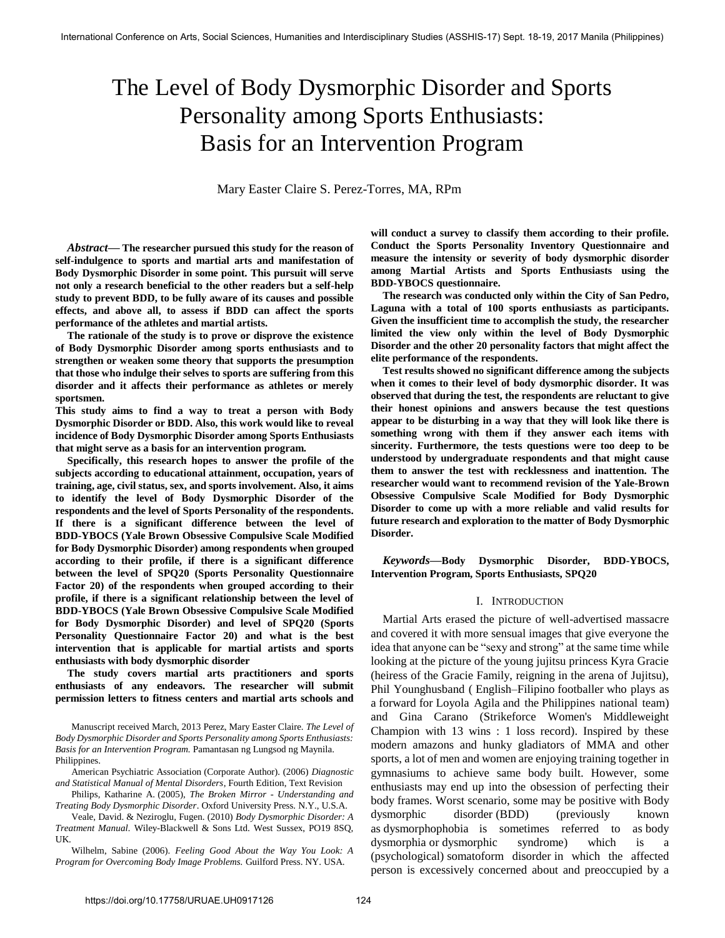# The Level of Body Dysmorphic Disorder and Sports Personality among Sports Enthusiasts: Basis for an Intervention Program

Mary Easter Claire S. Perez-Torres, MA, RPm

*Abstract***— The researcher pursued this study for the reason of self-indulgence to sports and martial arts and manifestation of Body Dysmorphic Disorder in some point. This pursuit will serve not only a research beneficial to the other readers but a self-help study to prevent BDD, to be fully aware of its causes and possible effects, and above all, to assess if BDD can affect the sports performance of the athletes and martial artists.** 

**The rationale of the study is to prove or disprove the existence of Body Dysmorphic Disorder among sports enthusiasts and to strengthen or weaken some theory that supports the presumption that those who indulge their selves to sports are suffering from this disorder and it affects their performance as athletes or merely sportsmen.** 

**This study aims to find a way to treat a person with Body Dysmorphic Disorder or BDD. Also, this work would like to reveal incidence of Body Dysmorphic Disorder among Sports Enthusiasts that might serve as a basis for an intervention program.** 

**Specifically, this research hopes to answer the profile of the subjects according to educational attainment, occupation, years of training, age, civil status, sex, and sports involvement. Also, it aims to identify the level of Body Dysmorphic Disorder of the respondents and the level of Sports Personality of the respondents. If there is a significant difference between the level of BDD-YBOCS (Yale Brown Obsessive Compulsive Scale Modified for Body Dysmorphic Disorder) among respondents when grouped according to their profile, if there is a significant difference between the level of SPQ20 (Sports Personality Questionnaire Factor 20) of the respondents when grouped according to their profile, if there is a significant relationship between the level of BDD-YBOCS (Yale Brown Obsessive Compulsive Scale Modified for Body Dysmorphic Disorder) and level of SPQ20 (Sports Personality Questionnaire Factor 20) and what is the best intervention that is applicable for martial artists and sports enthusiasts with body dysmorphic disorder** 

**The study covers martial arts practitioners and sports enthusiasts of any endeavors. The researcher will submit permission letters to fitness centers and martial arts schools and** 

Manuscript received March, 2013 Perez, Mary Easter Claire. *The Level of Body Dysmorphic Disorder and Sports Personality among Sports Enthusiasts: Basis for an Intervention Program.* Pamantasan ng Lungsod ng Maynila. Philippines.

[American Psychiatric Association \(](http://www.amazon.com/s/ref=ntt_athr_dp_sr_1?_encoding=UTF8&sort=relevancerank&search-alias=books&field-author=American%20Psychiatric%20Association)Corporate Author). (2006) *Diagnostic and Statistical Manual of Mental Disorders*, Fourth Edition, Text Revision

Philips, Katharine A. (2005), *The Broken Mirror - Understanding and Treating Body Dysmorphic Disorder*. Oxford University Press. N.Y., U.S.A.

Veale, David. & Neziroglu, Fugen. (2010) *Body Dysmorphic Disorder: A Treatment Manual.* Wiley-Blackwell & Sons Ltd. West Sussex, PO19 8SQ, UK.

Wilhelm, Sabine (2006). *Feeling Good About the Way You Look: A Program for Overcoming Body Image Problems.* Guilford Press. NY. USA.

**will conduct a survey to classify them according to their profile. Conduct the Sports Personality Inventory Questionnaire and measure the intensity or severity of body dysmorphic disorder among Martial Artists and Sports Enthusiasts using the BDD-YBOCS questionnaire.** 

**The research was conducted only within the City of San Pedro, Laguna with a total of 100 sports enthusiasts as participants. Given the insufficient time to accomplish the study, the researcher limited the view only within the level of Body Dysmorphic Disorder and the other 20 personality factors that might affect the elite performance of the respondents.** 

**Test results showed no significant difference among the subjects when it comes to their level of body dysmorphic disorder. It was observed that during the test, the respondents are reluctant to give their honest opinions and answers because the test questions appear to be disturbing in a way that they will look like there is something wrong with them if they answer each items with sincerity. Furthermore, the tests questions were too deep to be understood by undergraduate respondents and that might cause them to answer the test with recklessness and inattention. The researcher would want to recommend revision of the Yale-Brown Obsessive Compulsive Scale Modified for Body Dysmorphic Disorder to come up with a more reliable and valid results for future research and exploration to the matter of Body Dysmorphic Disorder.** 

*Keywords***—Body Dysmorphic Disorder, BDD-YBOCS, Intervention Program, Sports Enthusiasts, SPQ20**

### I. INTRODUCTION

Martial Arts erased the picture of well-advertised massacre and covered it with more sensual images that give everyone the idea that anyone can be "sexy and strong" at the same time while looking at the picture of the young jujitsu princess Kyra Gracie (heiress of the Gracie Family, reigning in the arena of Jujitsu), Phil Younghusband [\( English](http://en.wikipedia.org/wiki/English_people)[–Filipino](http://en.wikipedia.org/wiki/Filipino_people) [footballer](http://en.wikipedia.org/wiki/Association_football) who plays as a [forward](http://en.wikipedia.org/wiki/Forward_(association_football)) for [Loyola Agila a](http://en.wikipedia.org/wiki/Loyola_Agila_F.C.)nd the [Philippines national team\)](http://en.wikipedia.org/wiki/Philippines_national_football_team) and Gina Carano (Strikeforce Women's Middleweight Champion with 13 wins : 1 loss record). Inspired by these modern amazons and hunky gladiators of MMA and other sports, a lot of men and women are enjoying training together in gymnasiums to achieve same body built. However, some enthusiasts may end up into the obsession of perfecting their body frames. Worst scenario, some may be positive with Body dysmorphic disorder (BDD) (previously known as dysmorphophobia is sometimes referred to as body dysmorphia or dysmorphic syndrome) which is a [\(psychological\)](http://en.wikipedia.org/wiki/Mental_disorder) [somatoform disorder](http://en.wikipedia.org/wiki/Somatoform_disorder) in which the affected person is excessively concerned about and preoccupied by a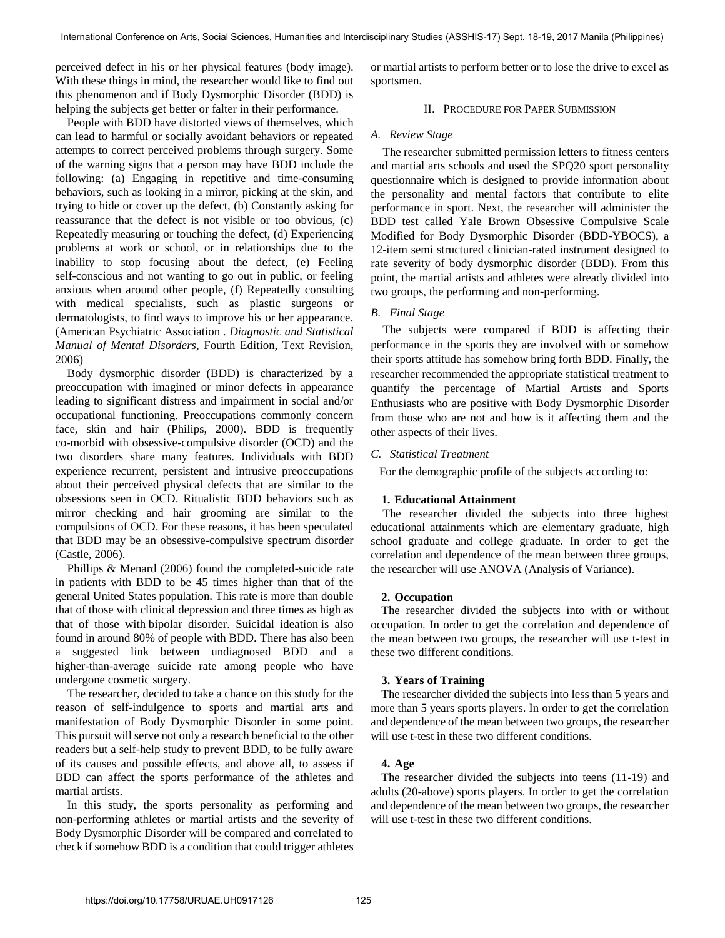perceived defect in his or her physical features [\(body image\)](http://en.wikipedia.org/wiki/Body_image). With these things in mind, the researcher would like to find out this phenomenon and if Body Dysmorphic Disorder (BDD) is helping the subjects get better or falter in their performance.

People with BDD have distorted views of themselves, which can lead to harmful or socially avoidant behaviors or repeated attempts to correct perceived problems through surgery. Some of the warning signs that a person may have BDD include the following: (a) Engaging in repetitive and time-consuming behaviors, such as looking in a mirror, picking at the skin, and trying to hide or cover up the defect, (b) Constantly asking for reassurance that the defect is not visible or too obvious, (c) Repeatedly measuring or touching the defect, (d) Experiencing problems at work or school, or in relationships due to the inability to stop focusing about the defect, (e) Feeling self-conscious and not wanting to go out in public, or feeling anxious when around other people, (f) Repeatedly consulting with medical specialists, such as plastic surgeons or dermatologists, to find ways to improve his or her appearance. [\(American Psychiatric Association](http://www.amazon.com/s/ref=ntt_athr_dp_sr_1?_encoding=UTF8&sort=relevancerank&search-alias=books&field-author=American%20Psychiatric%20Association) . *Diagnostic and Statistical Manual of Mental Disorders*, Fourth Edition, Text Revision, 2006)

Body dysmorphic disorder (BDD) is characterized by a preoccupation with imagined or minor defects in appearance leading to significant distress and impairment in social and/or occupational functioning. Preoccupations commonly concern face, skin and hair (Philips, 2000). BDD is frequently co-morbid with obsessive-compulsive disorder (OCD) and the two disorders share many features. Individuals with BDD experience recurrent, persistent and intrusive preoccupations about their perceived physical defects that are similar to the obsessions seen in OCD. Ritualistic BDD behaviors such as mirror checking and hair grooming are similar to the compulsions of OCD. For these reasons, it has been speculated that BDD may be an obsessive-compulsive spectrum disorder (Castle, 2006).

Phillips & Menard (2006) found the completed-suicide rate in patients with BDD to be 45 times higher than that of the genera[l United States](http://en.wikipedia.org/wiki/United_States) population. This rate is more than double that of those wit[h clinical depression a](http://en.wikipedia.org/wiki/Clinical_depression)nd three times as high as that of those wit[h bipolar disorder.](http://en.wikipedia.org/wiki/Bipolar_disorder) [Suicidal ideation](http://en.wikipedia.org/wiki/Suicidal_ideation) is also found in around 80% of people with BDD. There has also been a suggested link between undiagnosed BDD and a higher-than-average suicide rate among people who have undergone cosmetic surgery.

The researcher, decided to take a chance on this study for the reason of self-indulgence to sports and martial arts and manifestation of Body Dysmorphic Disorder in some point. This pursuit will serve not only a research beneficial to the other readers but a self-help study to prevent BDD, to be fully aware of its causes and possible effects, and above all, to assess if BDD can affect the sports performance of the athletes and martial artists.

 In this study, the sports personality as performing and non-performing athletes or martial artists and the severity of Body Dysmorphic Disorder will be compared and correlated to check if somehow BDD is a condition that could trigger athletes

or martial artists to perform better or to lose the drive to excel as sportsmen.

# II. PROCEDURE FOR PAPER SUBMISSION

## *A. Review Stage*

The researcher submitted permission letters to fitness centers and martial arts schools and used the SPQ20 sport personality questionnaire which is designed to provide information about the personality and mental factors that contribute to elite performance in sport. Next, the researcher will administer the BDD test called Yale Brown Obsessive Compulsive Scale Modified for Body Dysmorphic Disorder (BDD-YBOCS), a 12-item semi structured clinician-rated instrument designed to rate severity of body dysmorphic disorder (BDD). From this point, the martial artists and athletes were already divided into two groups, the performing and non-performing.

# *B. Final Stage*

The subjects were compared if BDD is affecting their performance in the sports they are involved with or somehow their sports attitude has somehow bring forth BDD. Finally, the researcher recommended the appropriate statistical treatment to quantify the percentage of Martial Artists and Sports Enthusiasts who are positive with Body Dysmorphic Disorder from those who are not and how is it affecting them and the other aspects of their lives.

## *C. Statistical Treatment*

For the demographic profile of the subjects according to:

## **1. Educational Attainment**

The researcher divided the subjects into three highest educational attainments which are elementary graduate, high school graduate and college graduate. In order to get the correlation and dependence of the mean between three groups, the researcher will use ANOVA (Analysis of Variance).

## **2. Occupation**

The researcher divided the subjects into with or without occupation. In order to get the correlation and dependence of the mean between two groups, the researcher will use t-test in these two different conditions.

## **3. Years of Training**

The researcher divided the subjects into less than 5 years and more than 5 years sports players. In order to get the correlation and dependence of the mean between two groups, the researcher will use t-test in these two different conditions.

# **4. Age**

The researcher divided the subjects into teens (11-19) and adults (20-above) sports players. In order to get the correlation and dependence of the mean between two groups, the researcher will use t-test in these two different conditions.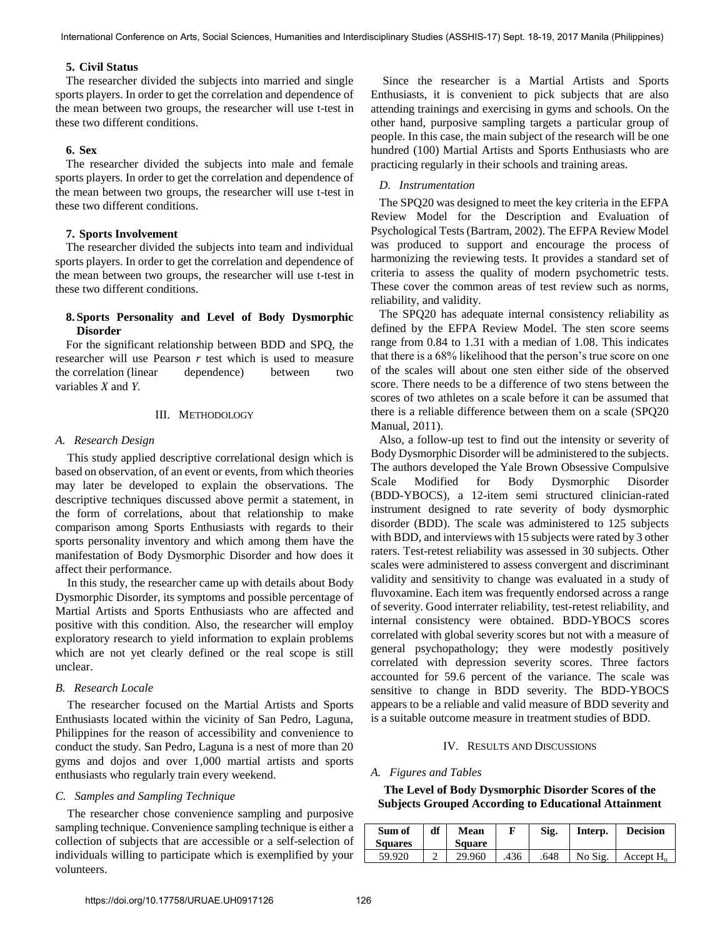# **5. Civil Status**

The researcher divided the subjects into married and single sports players. In order to get the correlation and dependence of the mean between two groups, the researcher will use t-test in these two different conditions.

# **6. Sex**

The researcher divided the subjects into male and female sports players. In order to get the correlation and dependence of the mean between two groups, the researcher will use t-test in these two different conditions.

## **7. Sports Involvement**

The researcher divided the subjects into team and individual sports players. In order to get the correlation and dependence of the mean between two groups, the researcher will use t-test in these two different conditions.

# **8. Sports Personality and Level of Body Dysmorphic Disorder**

For the significant relationship between BDD and SPQ, the researcher will use Pearson *r* test which is used to measure the [correlation](http://en.wikipedia.org/wiki/Correlation) (linear dependence) between two variables *X* and *Y.*

## III. METHODOLOGY

## *A. Research Design*

This study applied descriptive correlational design which is based on observation, of an event or events, from which theories may later be developed to explain the observations. The descriptive techniques discussed above permit a statement, in the form of correlations, about that relationship to make comparison among Sports Enthusiasts with regards to their sports personality inventory and which among them have the manifestation of Body Dysmorphic Disorder and how does it affect their performance.

In this study, the researcher came up with details about Body Dysmorphic Disorder, its symptoms and possible percentage of Martial Artists and Sports Enthusiasts who are affected and positive with this condition. Also, the researcher will employ exploratory research to yield information to explain problems which are not yet clearly defined or the real scope is still unclear.

# *B. Research Locale*

The researcher focused on the Martial Artists and Sports Enthusiasts located within the vicinity of San Pedro, Laguna, Philippines for the reason of accessibility and convenience to conduct the study. San Pedro, Laguna is a nest of more than 20 gyms and dojos and over 1,000 martial artists and sports enthusiasts who regularly train every weekend.

## *C. Samples and Sampling Technique*

The researcher chose convenience sampling and purposive sampling technique. Convenience sampling technique is either a collection of subjects that are accessible or a self-selection of individuals willing to participate which is exemplified by your volunteers.

Since the researcher is a Martial Artists and Sports Enthusiasts, it is convenient to pick subjects that are also attending trainings and exercising in gyms and schools. On the other hand, purposive sampling targets a particular group of people. In this case, the main subject of the research will be one hundred (100) Martial Artists and Sports Enthusiasts who are practicing regularly in their schools and training areas.

# *D. Instrumentation*

The SPQ20 was designed to meet the key criteria in the EFPA Review Model for the Description and Evaluation of Psychological Tests (Bartram, 2002). The EFPA Review Model was produced to support and encourage the process of harmonizing the reviewing tests. It provides a standard set of criteria to assess the quality of modern psychometric tests. These cover the common areas of test review such as norms, reliability, and validity.

The SPQ20 has adequate internal consistency reliability as defined by the EFPA Review Model. The sten score seems range from 0.84 to 1.31 with a median of 1.08. This indicates that there is a 68% likelihood that the person's true score on one of the scales will about one sten either side of the observed score. There needs to be a difference of two stens between the scores of two athletes on a scale before it can be assumed that there is a reliable difference between them on a scale (SPQ20 Manual, 2011).

Also, a follow-up test to find out the intensity or severity of Body Dysmorphic Disorder will be administered to the subjects. The authors developed the Yale Brown Obsessive Compulsive Scale Modified for Body Dysmorphic Disorder (BDD-YBOCS), a 12-item semi structured clinician-rated instrument designed to rate severity of body dysmorphic disorder (BDD). The scale was administered to 125 subjects with BDD, and interviews with 15 subjects were rated by 3 other raters. Test-retest reliability was assessed in 30 subjects. Other scales were administered to assess convergent and discriminant validity and sensitivity to change was evaluated in a study of fluvoxamine. Each item was frequently endorsed across a range of severity. Good interrater reliability, test-retest reliability, and internal consistency were obtained. BDD-YBOCS scores correlated with global severity scores but not with a measure of general psychopathology; they were modestly positively correlated with depression severity scores. Three factors accounted for 59.6 percent of the variance. The scale was sensitive to change in BDD severity. The BDD-YBOCS appears to be a reliable and valid measure of BDD severity and is a suitable outcome measure in treatment studies of BDD.

# IV. RESULTS AND DISCUSSIONS

## *A. Figures and Tables*

**The Level of Body Dysmorphic Disorder Scores of the Subjects Grouped According to Educational Attainment** 

| Sum of<br><b>Squares</b> | df | Mean<br><b>Square</b> |     | Sig. | Interp. | <b>Decision</b>     |
|--------------------------|----|-----------------------|-----|------|---------|---------------------|
| 59.920                   | ∸  | 29.960                | 436 | 648  | No Sig. | Accept $H_{\alpha}$ |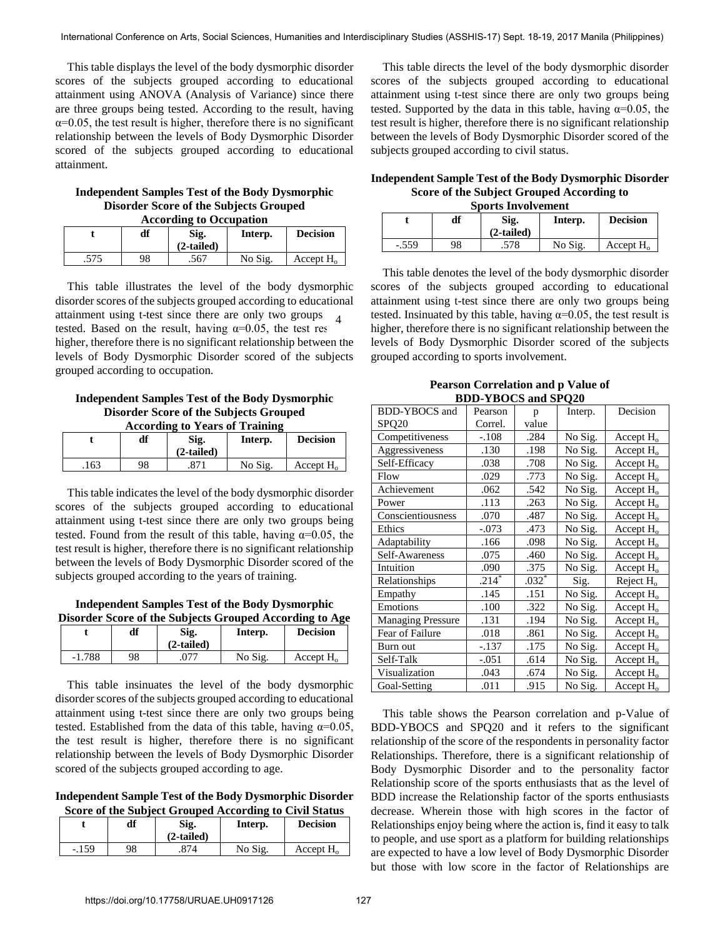This table displays the level of the body dysmorphic disorder scores of the subjects grouped according to educational attainment using ANOVA (Analysis of Variance) since there are three groups being tested. According to the result, having  $\alpha$ =0.05, the test result is higher, therefore there is no significant relationship between the levels of Body Dysmorphic Disorder scored of the subjects grouped according to educational attainment.

### **Independent Samples Test of the Body Dysmorphic Disorder Score of the Subjects Grouped According to Occupation**

| According to Occupation |    |         |                 |              |  |  |
|-------------------------|----|---------|-----------------|--------------|--|--|
|                         | df | Interp. | <b>Decision</b> |              |  |  |
| 575                     | 98 | .567    | No Sig.         | Accept $H_0$ |  |  |

 This table illustrates the level of the body dysmorphic disorder scores of the subjects grouped according to educational attainment using t-test since there are only two groups tested. Based on the result, having  $\alpha=0.05$ , the test res higher, therefore there is no significant relationship between the levels of Body Dysmorphic Disorder scored of the subjects grouped according to occupation. 4

#### **Independent Samples Test of the Body Dysmorphic Disorder Score of the Subjects Grouped According to Years of Training**

| According to years of fraining |    |                      |         |                 |  |  |  |
|--------------------------------|----|----------------------|---------|-----------------|--|--|--|
|                                | df | Sig.<br>$(2-tailed)$ | Interp. | <b>Decision</b> |  |  |  |
| .163                           | 98 |                      | No Sig. | Accept $H_0$    |  |  |  |

 This table indicates the level of the body dysmorphic disorder scores of the subjects grouped according to educational attainment using t-test since there are only two groups being tested. Found from the result of this table, having  $\alpha=0.05$ , the test result is higher, therefore there is no significant relationship between the levels of Body Dysmorphic Disorder scored of the subjects grouped according to the years of training.

**Independent Samples Test of the Body Dysmorphic Disorder Score of the Subjects Grouped According to Age** 

|          | df | Sig.<br>$(2-tailed)$ | Disorder beore of the bubjects Grouped Hecording to Hge<br>Interp. | <b>Decision</b> |
|----------|----|----------------------|--------------------------------------------------------------------|-----------------|
| $-1.788$ | 98 |                      | No Sig.                                                            | Accept H        |

 This table insinuates the level of the body dysmorphic disorder scores of the subjects grouped according to educational attainment using t-test since there are only two groups being tested. Established from the data of this table, having  $\alpha=0.05$ , the test result is higher, therefore there is no significant relationship between the levels of Body Dysmorphic Disorder scored of the subjects grouped according to age.

**Independent Sample Test of the Body Dysmorphic Disorder Score of the Subject Grouped According to Civil Status** 

|         | df | Sig.<br>$(2-tailed)$ | Interp. | <b>Decision</b>       |
|---------|----|----------------------|---------|-----------------------|
| $-.159$ | 98 |                      | No Sig. | Accept H <sub>o</sub> |

 This table directs the level of the body dysmorphic disorder scores of the subjects grouped according to educational attainment using t-test since there are only two groups being tested. Supported by the data in this table, having  $\alpha = 0.05$ , the test result is higher, therefore there is no significant relationship between the levels of Body Dysmorphic Disorder scored of the subjects grouped according to civil status.

**Independent Sample Test of the Body Dysmorphic Disorder Score of the Subject Grouped According to Sports Involvement** 

| орогь шубгусшене |    |         |                 |              |  |  |
|------------------|----|---------|-----------------|--------------|--|--|
|                  | df | Interp. | <b>Decision</b> |              |  |  |
| $-.559$          | 98 | .578    | No Sig.         | Accept $H_0$ |  |  |

 This table denotes the level of the body dysmorphic disorder scores of the subjects grouped according to educational attainment using t-test since there are only two groups being tested. Insinuated by this table, having  $\alpha=0.05$ , the test result is higher, therefore there is no significant relationship between the levels of Body Dysmorphic Disorder scored of the subjects grouped according to sports involvement.

**Pearson Correlation and p Value of BDD-YBOCS and SPQ20**

| <b>BDD-YBOCS</b> and     | Pearson | p       | Interp. | Decision     |
|--------------------------|---------|---------|---------|--------------|
| SPQ <sub>20</sub>        | Correl. | value   |         |              |
| Competitiveness          | $-.108$ | .284    | No Sig. | Accept $H_0$ |
| Aggressiveness           | .130    | .198    | No Sig. | Accept $H_0$ |
| Self-Efficacy            | .038    | .708    | No Sig. | Accept $H_0$ |
| Flow                     | .029    | .773    | No Sig. | Accept $H_0$ |
| Achievement              | .062    | .542    | No Sig. | Accept $H_0$ |
| Power                    | .113    | .263    | No Sig. | Accept $H_0$ |
| Conscientiousness        | .070    | .487    | No Sig. | Accept $H_0$ |
| Ethics                   | $-.073$ | .473    | No Sig. | Accept $H_0$ |
| Adaptability             | .166    | .098    | No Sig. | Accept $H_0$ |
| Self-Awareness           | .075    | .460    | No Sig. | Accept $H_0$ |
| Intuition                | .090    | .375    | No Sig. | Accept $H_0$ |
| Relationships            | $.214*$ | $.032*$ | Sig.    | Reject $H_0$ |
| Empathy                  | .145    | .151    | No Sig. | Accept $H_0$ |
| Emotions                 | .100    | .322    | No Sig. | Accept $H_0$ |
| <b>Managing Pressure</b> | .131    | .194    | No Sig. | Accept $H_0$ |
| Fear of Failure          | .018    | .861    | No Sig. | Accept $H_0$ |
| Burn out                 | $-.137$ | .175    | No Sig. | Accept $H_0$ |
| Self-Talk                | $-.051$ | .614    | No Sig. | Accept $H_0$ |
| Visualization            | .043    | .674    | No Sig. | Accept $H_0$ |
| Goal-Setting             | .011    | .915    | No Sig. | Accept $H_0$ |

 This table shows the Pearson correlation and p-Value of BDD-YBOCS and SPQ20 and it refers to the significant relationship of the score of the respondents in personality factor Relationships. Therefore, there is a significant relationship of Body Dysmorphic Disorder and to the personality factor Relationship score of the sports enthusiasts that as the level of BDD increase the Relationship factor of the sports enthusiasts decrease. Wherein those with high scores in the factor of Relationships enjoy being where the action is, find it easy to talk to people, and use sport as a platform for building relationships are expected to have a low level of Body Dysmorphic Disorder but those with low score in the factor of Relationships are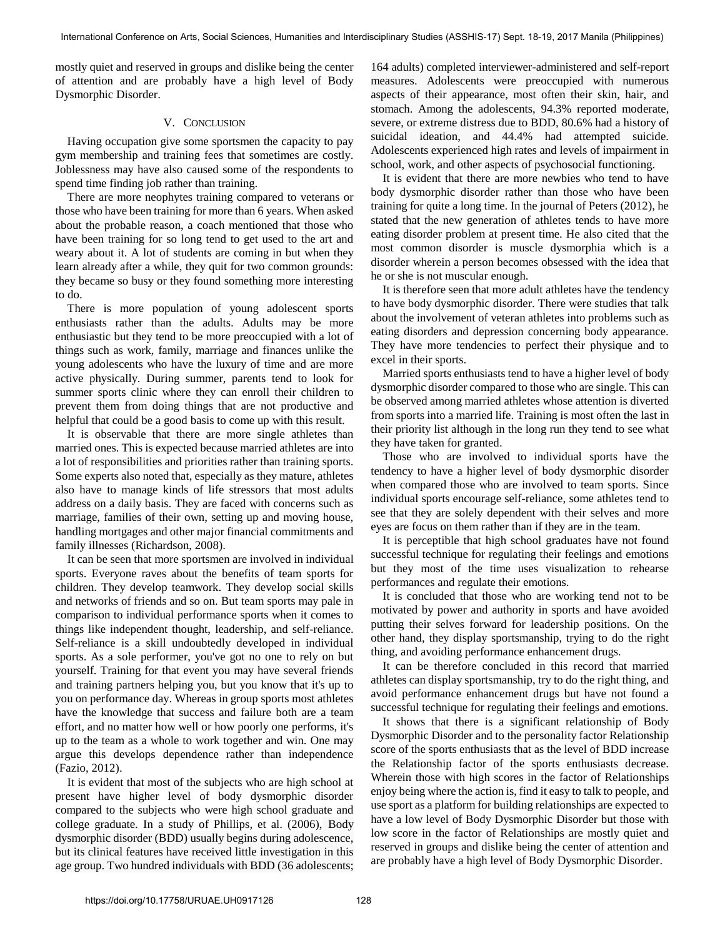mostly quiet and reserved in groups and dislike being the center of attention and are probably have a high level of Body Dysmorphic Disorder.

## V. CONCLUSION

Having occupation give some sportsmen the capacity to pay gym membership and training fees that sometimes are costly. Joblessness may have also caused some of the respondents to spend time finding job rather than training.

There are more neophytes training compared to veterans or those who have been training for more than 6 years. When asked about the probable reason, a coach mentioned that those who have been training for so long tend to get used to the art and weary about it. A lot of students are coming in but when they learn already after a while, they quit for two common grounds: they became so busy or they found something more interesting to do.

There is more population of young adolescent sports enthusiasts rather than the adults. Adults may be more enthusiastic but they tend to be more preoccupied with a lot of things such as work, family, marriage and finances unlike the young adolescents who have the luxury of time and are more active physically. During summer, parents tend to look for summer sports clinic where they can enroll their children to prevent them from doing things that are not productive and helpful that could be a good basis to come up with this result.

It is observable that there are more single athletes than married ones. This is expected because married athletes are into a lot of responsibilities and priorities rather than training sports. Some experts also noted that, especially as they mature, athletes also have to manage kinds of life stressors that most adults address on a daily basis. They are faced with concerns such as marriage, families of their own, setting up and moving house, handling mortgages and other major financial commitments and family illnesses (Richardson, 2008).

It can be seen that more sportsmen are involved in individual sports. Everyone raves about the benefits of team sports for children. They develop teamwork. They develop social skills and networks of friends and so on. But team sports may pale in comparison to individual performance sports when it comes to things like independent thought, leadership, and self-reliance. Self-reliance is a skill undoubtedly developed in individual sports. As a sole performer, you've got no one to rely on but yourself. Training for that event you may have several friends and training partners helping you, but you know that it's up to you on performance day. Whereas in group sports most athletes have the knowledge that success and failure both are a team effort, and no matter how well or how poorly one performs, it's up to the team as a whole to work together and win. One may argue this develops dependence rather than independence (Fazio, 2012).

It is evident that most of the subjects who are high school at present have higher level of body dysmorphic disorder compared to the subjects who were high school graduate and college graduate. In a study of Phillips, et al. (2006), Body dysmorphic disorder (BDD) usually begins during adolescence, but its clinical features have received little investigation in this age group. Two hundred individuals with BDD (36 adolescents;

164 adults) completed interviewer-administered and self-report measures. Adolescents were preoccupied with numerous aspects of their appearance, most often their skin, hair, and stomach. Among the adolescents, 94.3% reported moderate, severe, or extreme distress due to BDD, 80.6% had a history of suicidal ideation, and 44.4% had attempted suicide. Adolescents experienced high rates and levels of impairment in school, work, and other aspects of psychosocial functioning.

It is evident that there are more newbies who tend to have body dysmorphic disorder rather than those who have been training for quite a long time. In the journal of Peters (2012), he stated that the new generation of athletes tends to have more eating disorder problem at present time. He also cited that the most common disorder is muscle dysmorphia which is a disorder wherein a person becomes obsessed with the idea that he or she is not muscular enough.

It is therefore seen that more adult athletes have the tendency to have body dysmorphic disorder. There were studies that talk about the involvement of veteran athletes into problems such as eating disorders and depression concerning body appearance. They have more tendencies to perfect their physique and to excel in their sports.

Married sports enthusiasts tend to have a higher level of body dysmorphic disorder compared to those who are single. This can be observed among married athletes whose attention is diverted from sports into a married life. Training is most often the last in their priority list although in the long run they tend to see what they have taken for granted.

Those who are involved to individual sports have the tendency to have a higher level of body dysmorphic disorder when compared those who are involved to team sports. Since individual sports encourage self-reliance, some athletes tend to see that they are solely dependent with their selves and more eyes are focus on them rather than if they are in the team.

It is perceptible that high school graduates have not found successful technique for regulating their feelings and emotions but they most of the time uses visualization to rehearse performances and regulate their emotions.

It is concluded that those who are working tend not to be motivated by power and authority in sports and have avoided putting their selves forward for leadership positions. On the other hand, they display sportsmanship, trying to do the right thing, and avoiding performance enhancement drugs.

It can be therefore concluded in this record that married athletes can display sportsmanship, try to do the right thing, and avoid performance enhancement drugs but have not found a successful technique for regulating their feelings and emotions.

It shows that there is a significant relationship of Body Dysmorphic Disorder and to the personality factor Relationship score of the sports enthusiasts that as the level of BDD increase the Relationship factor of the sports enthusiasts decrease. Wherein those with high scores in the factor of Relationships enjoy being where the action is, find it easy to talk to people, and use sport as a platform for building relationships are expected to have a low level of Body Dysmorphic Disorder but those with low score in the factor of Relationships are mostly quiet and reserved in groups and dislike being the center of attention and are probably have a high level of Body Dysmorphic Disorder.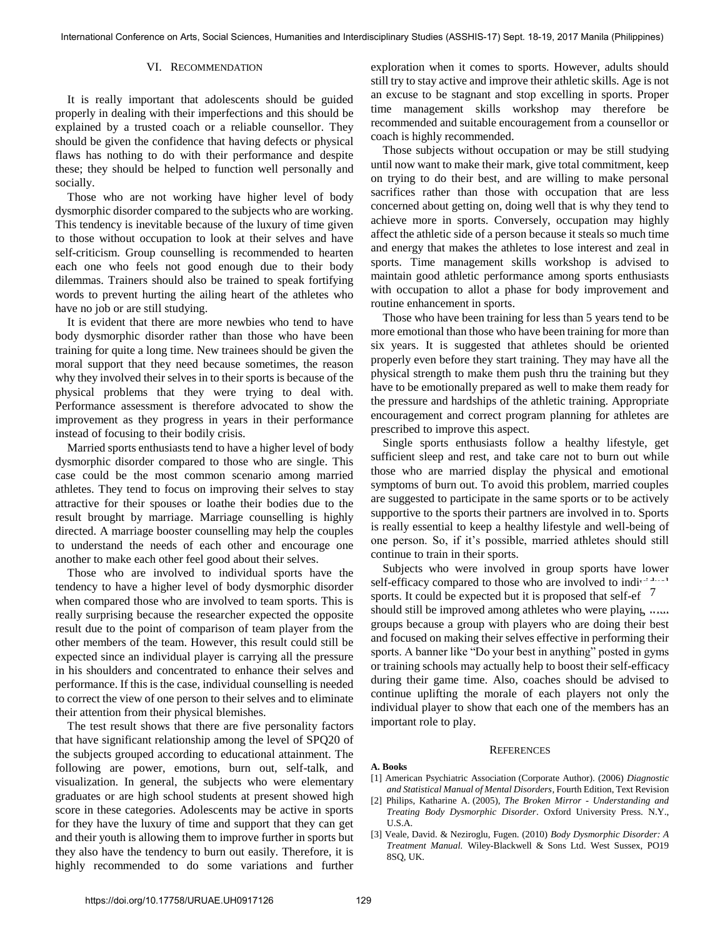## VI. RECOMMENDATION

It is really important that adolescents should be guided properly in dealing with their imperfections and this should be explained by a trusted coach or a reliable counsellor. They should be given the confidence that having defects or physical flaws has nothing to do with their performance and despite these; they should be helped to function well personally and socially.

Those who are not working have higher level of body dysmorphic disorder compared to the subjects who are working. This tendency is inevitable because of the luxury of time given to those without occupation to look at their selves and have self-criticism. Group counselling is recommended to hearten each one who feels not good enough due to their body dilemmas. Trainers should also be trained to speak fortifying words to prevent hurting the ailing heart of the athletes who have no job or are still studying.

It is evident that there are more newbies who tend to have body dysmorphic disorder rather than those who have been training for quite a long time. New trainees should be given the moral support that they need because sometimes, the reason why they involved their selves in to their sports is because of the physical problems that they were trying to deal with. Performance assessment is therefore advocated to show the improvement as they progress in years in their performance instead of focusing to their bodily crisis.

Married sports enthusiasts tend to have a higher level of body dysmorphic disorder compared to those who are single. This case could be the most common scenario among married athletes. They tend to focus on improving their selves to stay attractive for their spouses or loathe their bodies due to the result brought by marriage. Marriage counselling is highly directed. A marriage booster counselling may help the couples to understand the needs of each other and encourage one another to make each other feel good about their selves.

Those who are involved to individual sports have the tendency to have a higher level of body dysmorphic disorder when compared those who are involved to team sports. This is really surprising because the researcher expected the opposite result due to the point of comparison of team player from the other members of the team. However, this result could still be expected since an individual player is carrying all the pressure in his shoulders and concentrated to enhance their selves and performance. If this is the case, individual counselling is needed to correct the view of one person to their selves and to eliminate their attention from their physical blemishes.

The test result shows that there are five personality factors that have significant relationship among the level of SPQ20 of the subjects grouped according to educational attainment. The following are power, emotions, burn out, self-talk, and visualization. In general, the subjects who were elementary graduates or are high school students at present showed high score in these categories. Adolescents may be active in sports for they have the luxury of time and support that they can get and their youth is allowing them to improve further in sports but they also have the tendency to burn out easily. Therefore, it is highly recommended to do some variations and further

exploration when it comes to sports. However, adults should still try to stay active and improve their athletic skills. Age is not an excuse to be stagnant and stop excelling in sports. Proper time management skills workshop may therefore be recommended and suitable encouragement from a counsellor or coach is highly recommended.

Those subjects without occupation or may be still studying until now want to make their mark, give total commitment, keep on trying to do their best, and are willing to make personal sacrifices rather than those with occupation that are less concerned about getting on, doing well that is why they tend to achieve more in sports. Conversely, occupation may highly affect the athletic side of a person because it steals so much time and energy that makes the athletes to lose interest and zeal in sports. Time management skills workshop is advised to maintain good athletic performance among sports enthusiasts with occupation to allot a phase for body improvement and routine enhancement in sports.

Those who have been training for less than 5 years tend to be more emotional than those who have been training for more than six years. It is suggested that athletes should be oriented properly even before they start training. They may have all the physical strength to make them push thru the training but they have to be emotionally prepared as well to make them ready for the pressure and hardships of the athletic training. Appropriate encouragement and correct program planning for athletes are prescribed to improve this aspect.

Single sports enthusiasts follow a healthy lifestyle, get sufficient sleep and rest, and take care not to burn out while those who are married display the physical and emotional symptoms of burn out. To avoid this problem, married couples are suggested to participate in the same sports or to be actively supportive to the sports their partners are involved in to. Sports is really essential to keep a healthy lifestyle and well-being of one person. So, if it's possible, married athletes should still continue to train in their sports.

Subjects who were involved in group sports have lower self-efficacy compared to those who are involved to individual sports. It could be expected but it is proposed that self-ef  $\frac{7}{1}$ should still be improved among athletes who were playing with groups because a group with players who are doing their best and focused on making their selves effective in performing their sports. A banner like "Do your best in anything" posted in gyms or training schools may actually help to boost their self-efficacy during their game time. Also, coaches should be advised to continue uplifting the morale of each players not only the individual player to show that each one of the members has an important role to play.

#### **REFERENCES**

#### **A. Books**

- [1] [American Psychiatric Association](http://www.amazon.com/s/ref=ntt_athr_dp_sr_1?_encoding=UTF8&sort=relevancerank&search-alias=books&field-author=American%20Psychiatric%20Association) (Corporate Author). (2006) *Diagnostic and Statistical Manual of Mental Disorders*, Fourth Edition, Text Revision
- [2] Philips, Katharine A. (2005), *The Broken Mirror Understanding and Treating Body Dysmorphic Disorder*. Oxford University Press. N.Y., U.S.A.
- [3] Veale, David. & Neziroglu, Fugen. (2010) *Body Dysmorphic Disorder: A Treatment Manual.* Wiley-Blackwell & Sons Ltd. West Sussex, PO19 8SQ, UK.